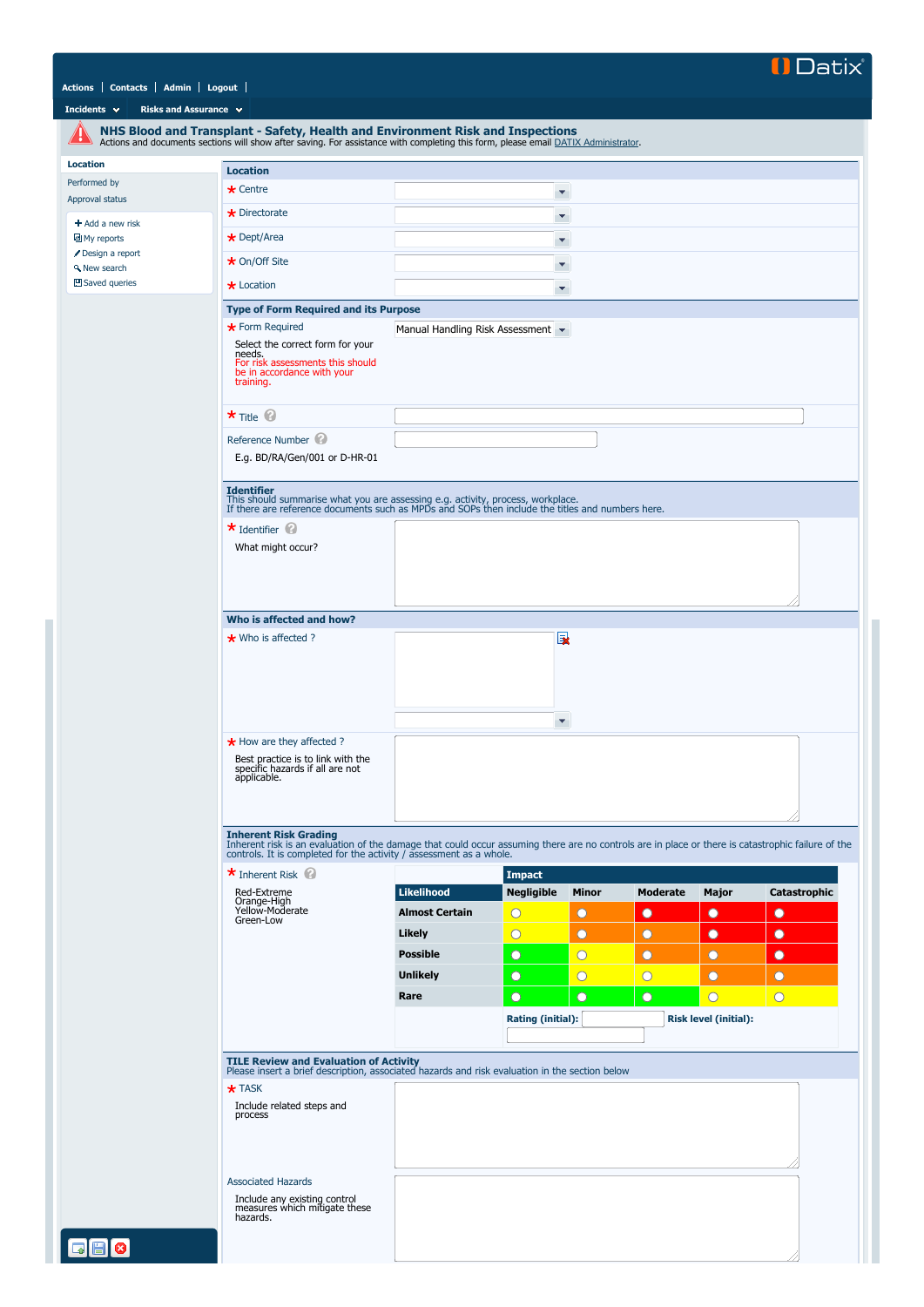

## **[Actions](javascript:if(CheckChange()){SendTo() [Contacts](javascript:if(CheckChange()){SendTo() [Admin](javascript:if(CheckChange()){SendTo() [Logout](http://datixrm/datix/live/index.php?action=logout)**

## **[Incidents](javascript:if(CheckChange()){SendTo() v [Risks and Assurance](javascript:if(CheckChange()){SendTo() v**

<span id="page-0-0"></span>

|                                              | NHS Blood and Transplant - Safety, Health and Environment Risk and Inspections<br>Actions and documents sections will show after saving. For assistance with completing this form, please email DATIX Administrator.                                  |                         |                       |                                         |                                                |                              |                     |  |  |
|----------------------------------------------|-------------------------------------------------------------------------------------------------------------------------------------------------------------------------------------------------------------------------------------------------------|-------------------------|-----------------------|-----------------------------------------|------------------------------------------------|------------------------------|---------------------|--|--|
| <b>Location</b>                              | <b>Location</b>                                                                                                                                                                                                                                       |                         |                       |                                         |                                                |                              |                     |  |  |
| Performed by                                 | $\star$ Centre                                                                                                                                                                                                                                        |                         | v.                    |                                         |                                                |                              |                     |  |  |
| Approval status                              | $\star$ Directorate                                                                                                                                                                                                                                   |                         | ۳                     |                                         |                                                |                              |                     |  |  |
| $+$ Add a new risk<br><b>■</b> My reports    | $\star$ Dept/Area                                                                                                                                                                                                                                     |                         | ۳                     |                                         |                                                |                              |                     |  |  |
| Design a report<br><b>A</b> New search       | $\star$ On/Off Site                                                                                                                                                                                                                                   | Υ.                      |                       |                                         |                                                |                              |                     |  |  |
| 凹 Saved queries                              | * Location                                                                                                                                                                                                                                            | ۰                       |                       |                                         |                                                |                              |                     |  |  |
|                                              | <b>Type of Form Required and its Purpose</b>                                                                                                                                                                                                          |                         |                       |                                         |                                                |                              |                     |  |  |
|                                              | * Form Required<br>Manual Handling Risk Assessment                                                                                                                                                                                                    |                         |                       |                                         |                                                |                              |                     |  |  |
|                                              | Select the correct form for your<br>needs.<br>For risk assessments this should<br>be in accordance with your<br>training.                                                                                                                             |                         |                       |                                         |                                                |                              |                     |  |  |
|                                              | $\star$ Title $\circledcirc$                                                                                                                                                                                                                          |                         |                       |                                         |                                                |                              |                     |  |  |
|                                              | Reference Number<br>E.g. BD/RA/Gen/001 or D-HR-01                                                                                                                                                                                                     |                         |                       |                                         |                                                |                              |                     |  |  |
|                                              |                                                                                                                                                                                                                                                       |                         |                       |                                         |                                                |                              |                     |  |  |
|                                              | <b>Identifier</b><br>This should summarise what you are assessing e.g. activity, process, workplace.<br>If there are reference documents such as MPDs and SOPs then include the titles and numbers here.                                              |                         |                       |                                         |                                                |                              |                     |  |  |
|                                              | $\star$ Identifier $\circledcirc$                                                                                                                                                                                                                     |                         |                       |                                         |                                                |                              |                     |  |  |
|                                              | What might occur?                                                                                                                                                                                                                                     |                         |                       |                                         |                                                |                              |                     |  |  |
|                                              |                                                                                                                                                                                                                                                       |                         |                       |                                         |                                                |                              |                     |  |  |
|                                              |                                                                                                                                                                                                                                                       |                         |                       |                                         |                                                |                              |                     |  |  |
|                                              | Who is affected and how?                                                                                                                                                                                                                              |                         |                       |                                         |                                                |                              |                     |  |  |
|                                              | $\star$ Who is affected ?                                                                                                                                                                                                                             |                         | 国                     |                                         |                                                |                              |                     |  |  |
|                                              |                                                                                                                                                                                                                                                       |                         |                       |                                         |                                                |                              |                     |  |  |
|                                              |                                                                                                                                                                                                                                                       |                         |                       |                                         |                                                |                              |                     |  |  |
|                                              |                                                                                                                                                                                                                                                       |                         | ۰                     |                                         |                                                |                              |                     |  |  |
|                                              | * How are they affected ?                                                                                                                                                                                                                             |                         |                       |                                         |                                                |                              |                     |  |  |
|                                              | Best practice is to link with the<br>specific hazards if all are not<br>applicable.                                                                                                                                                                   |                         |                       |                                         |                                                |                              |                     |  |  |
|                                              |                                                                                                                                                                                                                                                       |                         |                       |                                         |                                                |                              | 77                  |  |  |
|                                              | <b>Inherent Risk Grading</b><br>Inherent risk is an evaluation of the damage that could occur assuming there are no controls are in place or there is catastrophic failure of the controls. It is completed for the activity / assessment as a whole. |                         |                       |                                         |                                                |                              |                     |  |  |
|                                              | $\star$ Inherent Risk                                                                                                                                                                                                                                 |                         | <b>Impact</b>         |                                         |                                                |                              |                     |  |  |
|                                              | Red-Extreme<br>Orange-High                                                                                                                                                                                                                            | <b>Likelihood</b>       | <b>Negligible</b>     | <b>Minor</b>                            | <b>Moderate</b>                                | <b>Major</b>                 | <b>Catastrophic</b> |  |  |
|                                              | Yellow-Moderate<br>Green-Low                                                                                                                                                                                                                          | <b>Almost Certain</b>   | $\overline{\text{O}}$ | $\circ$                                 | $\bullet$                                      | $\bullet$                    | $\bullet$           |  |  |
|                                              |                                                                                                                                                                                                                                                       | Likely                  | $\overline{O}$        | $\bullet$                               | $\circ$                                        | $\bullet$                    | $\bullet$           |  |  |
|                                              |                                                                                                                                                                                                                                                       | <b>Possible</b>         | $\circ$               | $\overline{O}$                          | $\bullet$                                      | O                            | $\bullet$           |  |  |
|                                              |                                                                                                                                                                                                                                                       | <b>Unlikely</b><br>Rare | $\circ$<br>$\circ$    | $\overline{O}$<br>$\overline{\bigcirc}$ | $\overline{\text{O}}$<br>$\overline{\bigcirc}$ | $\circ$<br>$\overline{O}$    | O<br>$\overline{O}$ |  |  |
|                                              |                                                                                                                                                                                                                                                       |                         | Rating (initial):     |                                         |                                                | <b>Risk level (initial):</b> |                     |  |  |
|                                              |                                                                                                                                                                                                                                                       |                         |                       |                                         |                                                |                              |                     |  |  |
|                                              | TILE Review and Evaluation of Activity<br>Please insert a brief description, associated hazards and risk evaluation in the section below                                                                                                              |                         |                       |                                         |                                                |                              |                     |  |  |
|                                              | $\star$ TASK                                                                                                                                                                                                                                          |                         |                       |                                         |                                                |                              |                     |  |  |
|                                              | Include related steps and                                                                                                                                                                                                                             |                         |                       |                                         |                                                |                              |                     |  |  |
|                                              | process                                                                                                                                                                                                                                               |                         |                       |                                         |                                                |                              |                     |  |  |
|                                              |                                                                                                                                                                                                                                                       |                         |                       |                                         |                                                |                              |                     |  |  |
|                                              |                                                                                                                                                                                                                                                       |                         |                       |                                         |                                                |                              |                     |  |  |
|                                              | <b>Associated Hazards</b><br>Include any existing control                                                                                                                                                                                             |                         |                       |                                         |                                                |                              |                     |  |  |
|                                              | measures which mitigate these<br>hazards.                                                                                                                                                                                                             |                         |                       |                                         |                                                |                              |                     |  |  |
|                                              |                                                                                                                                                                                                                                                       |                         |                       |                                         |                                                |                              |                     |  |  |
| $\blacksquare$ $\blacksquare$ $\blacksquare$ |                                                                                                                                                                                                                                                       |                         |                       |                                         |                                                |                              |                     |  |  |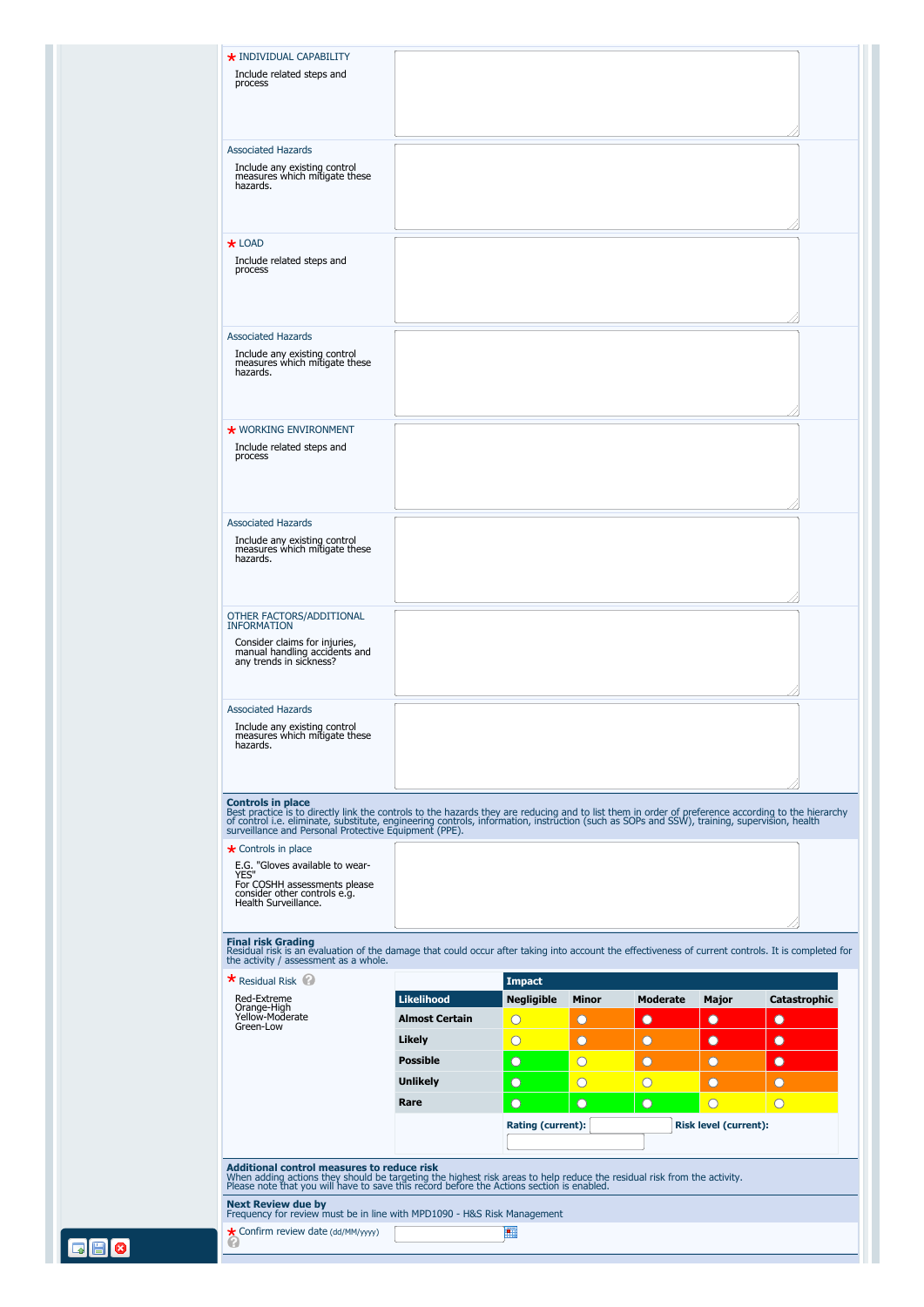| <b>Associated Hazards</b><br>Include any existing control<br>measures which mitigate these<br>hazards.                                                                                                                                                                                                                                                                 |                       |                                     |              |                       |                                                       |                     |
|------------------------------------------------------------------------------------------------------------------------------------------------------------------------------------------------------------------------------------------------------------------------------------------------------------------------------------------------------------------------|-----------------------|-------------------------------------|--------------|-----------------------|-------------------------------------------------------|---------------------|
| $\star$ LOAD<br>Include related steps and<br>process                                                                                                                                                                                                                                                                                                                   |                       |                                     |              |                       |                                                       |                     |
|                                                                                                                                                                                                                                                                                                                                                                        |                       |                                     |              |                       |                                                       |                     |
| <b>Associated Hazards</b><br>Include any existing control<br>measures which mitigate these<br>hazards.                                                                                                                                                                                                                                                                 |                       |                                     |              |                       |                                                       |                     |
| <b>★ WORKING ENVIRONMENT</b><br>Include related steps and<br>process                                                                                                                                                                                                                                                                                                   |                       |                                     |              |                       |                                                       |                     |
| <b>Associated Hazards</b>                                                                                                                                                                                                                                                                                                                                              |                       |                                     |              |                       |                                                       |                     |
| Include any existing control<br>measures which mitigate these<br>hazards.                                                                                                                                                                                                                                                                                              |                       |                                     |              |                       |                                                       |                     |
| OTHER FACTORS/ADDITIONAL<br><b>INFORMATION</b>                                                                                                                                                                                                                                                                                                                         |                       |                                     |              |                       |                                                       |                     |
| Consider claims for injuries,<br>manual handling accidents and<br>any trends in sickness?                                                                                                                                                                                                                                                                              |                       |                                     |              |                       |                                                       |                     |
| <b>Associated Hazards</b>                                                                                                                                                                                                                                                                                                                                              |                       |                                     |              |                       |                                                       |                     |
| Include any existing control<br>measures which mitigate these<br>hazards.                                                                                                                                                                                                                                                                                              |                       |                                     |              |                       |                                                       |                     |
| <b>Controls in place</b><br>Best practice is to directly link the controls to the hazards they are reducing and to list them in order of preference according to the hierarchy<br>of control i.e. eliminate, substitute, engineering controls, information, i<br><b>★</b> Controls in place<br>E.G. "Gloves available to wear-<br>YES"<br>For COSHH assessments please |                       |                                     |              |                       |                                                       |                     |
| consider other controls e.g.<br>Health Surveillance.<br><b>Final risk Grading</b>                                                                                                                                                                                                                                                                                      |                       |                                     |              |                       |                                                       |                     |
| Residual risk is an evaluation of the damage that could occur after taking into account the effectiveness of current controls. It is completed for<br>the activity / assessment as a whole.                                                                                                                                                                            |                       |                                     |              |                       |                                                       |                     |
| <b>*</b> Residual Risk<br>Red-Extreme                                                                                                                                                                                                                                                                                                                                  | <b>Likelihood</b>     | <b>Impact</b><br><b>Negligible</b>  | <b>Minor</b> | <b>Moderate</b>       | <b>Major</b>                                          | <b>Catastrophic</b> |
| Orange-High<br>Yellow-Moderate<br>Green-Low                                                                                                                                                                                                                                                                                                                            | <b>Almost Certain</b> | $\rm{O}$                            | $\circ$      | O                     | $\bullet$                                             | $\bullet$           |
|                                                                                                                                                                                                                                                                                                                                                                        | Likely                | $\rm{O}$                            | $\circ$      | O                     | $\bullet$                                             | $\bullet$           |
|                                                                                                                                                                                                                                                                                                                                                                        | <b>Possible</b>       | $\circ$                             | $\bigcirc$   | $\circ$               | $\Omega$                                              | $\bullet$           |
|                                                                                                                                                                                                                                                                                                                                                                        | <b>Unlikely</b>       | O                                   | $\bigcirc$   | $\overline{\text{O}}$ | O                                                     | O                   |
|                                                                                                                                                                                                                                                                                                                                                                        | Rare                  | $\circ$<br><b>Rating (current):</b> | $\circ$      | $\circ$               | $\overline{\bigcirc}$<br><b>Risk level (current):</b> | $\bigcirc$          |
| <b>Additional control measures to reduce risk</b>                                                                                                                                                                                                                                                                                                                      |                       |                                     |              |                       |                                                       |                     |

<span id="page-1-0"></span>